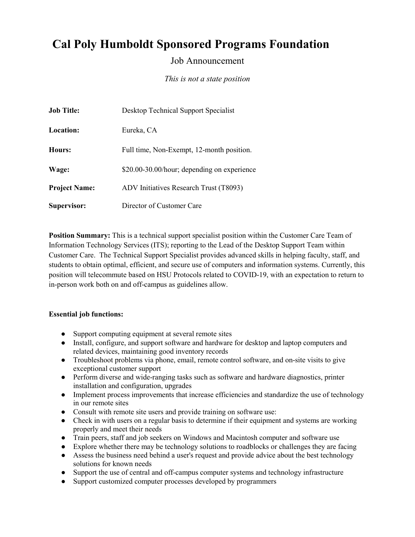# **Cal Poly Humboldt Sponsored Programs Foundation**

# Job Announcement

*This is not a state position*

| <b>Job Title:</b>    | Desktop Technical Support Specialist        |
|----------------------|---------------------------------------------|
| <b>Location:</b>     | Eureka, CA                                  |
| Hours:               | Full time, Non-Exempt, 12-month position.   |
| Wage:                | \$20.00-30.00/hour; depending on experience |
| <b>Project Name:</b> | ADV Initiatives Research Trust (T8093)      |
| Supervisor:          | Director of Customer Care                   |

**Position Summary:** This is a technical support specialist position within the Customer Care Team of Information Technology Services (ITS); reporting to the Lead of the Desktop Support Team within Customer Care. The Technical Support Specialist provides advanced skills in helping faculty, staff, and students to obtain optimal, efficient, and secure use of computers and information systems. Currently, this position will telecommute based on HSU Protocols related to COVID-19, with an expectation to return to in-person work both on and off-campus as guidelines allow.

#### **Essential job functions:**

- Support computing equipment at several remote sites
- Install, configure, and support software and hardware for desktop and laptop computers and related devices, maintaining good inventory records
- Troubleshoot problems via phone, email, remote control software, and on-site visits to give exceptional customer support
- Perform diverse and wide-ranging tasks such as software and hardware diagnostics, printer installation and configuration, upgrades
- Implement process improvements that increase efficiencies and standardize the use of technology in our remote sites
- Consult with remote site users and provide training on software use:
- Check in with users on a regular basis to determine if their equipment and systems are working properly and meet their needs
- Train peers, staff and job seekers on Windows and Macintosh computer and software use
- Explore whether there may be technology solutions to roadblocks or challenges they are facing
- Assess the business need behind a user's request and provide advice about the best technology solutions for known needs
- Support the use of central and off-campus computer systems and technology infrastructure
- Support customized computer processes developed by programmers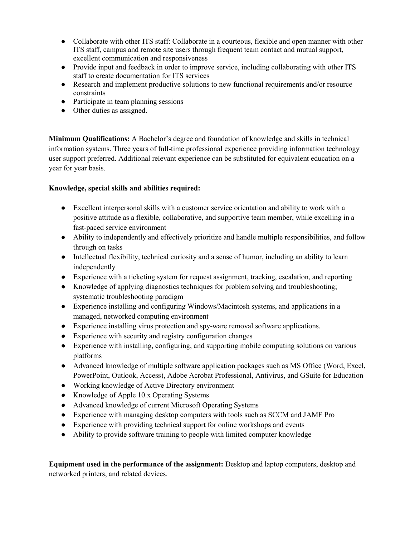- Collaborate with other ITS staff: Collaborate in a courteous, flexible and open manner with other ITS staff, campus and remote site users through frequent team contact and mutual support, excellent communication and responsiveness
- Provide input and feedback in order to improve service, including collaborating with other ITS staff to create documentation for ITS services
- Research and implement productive solutions to new functional requirements and/or resource constraints
- Participate in team planning sessions
- Other duties as assigned.

**Minimum Qualifications:** A Bachelor's degree and foundation of knowledge and skills in technical information systems. Three years of full-time professional experience providing information technology user support preferred. Additional relevant experience can be substituted for equivalent education on a year for year basis.

## **Knowledge, special skills and abilities required:**

- Excellent interpersonal skills with a customer service orientation and ability to work with a positive attitude as a flexible, collaborative, and supportive team member, while excelling in a fast-paced service environment
- Ability to independently and effectively prioritize and handle multiple responsibilities, and follow through on tasks
- Intellectual flexibility, technical curiosity and a sense of humor, including an ability to learn independently
- Experience with a ticketing system for request assignment, tracking, escalation, and reporting
- Knowledge of applying diagnostics techniques for problem solving and troubleshooting; systematic troubleshooting paradigm
- Experience installing and configuring Windows/Macintosh systems, and applications in a managed, networked computing environment
- Experience installing virus protection and spy-ware removal software applications.
- Experience with security and registry configuration changes
- Experience with installing, configuring, and supporting mobile computing solutions on various platforms
- Advanced knowledge of multiple software application packages such as MS Office (Word, Excel, PowerPoint, Outlook, Access), Adobe Acrobat Professional, Antivirus, and GSuite for Education
- Working knowledge of Active Directory environment
- Knowledge of Apple 10.x Operating Systems
- Advanced knowledge of current Microsoft Operating Systems
- Experience with managing desktop computers with tools such as SCCM and JAMF Pro
- Experience with providing technical support for online workshops and events
- Ability to provide software training to people with limited computer knowledge

**Equipment used in the performance of the assignment:** Desktop and laptop computers, desktop and networked printers, and related devices.